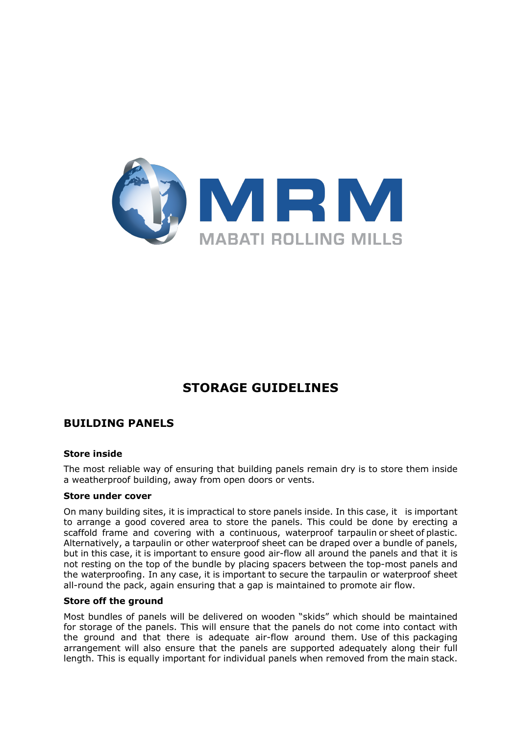

# **STORAGE GUIDELINES**

# **BUILDING PANELS**

#### **Store inside**

The most reliable way of ensuring that building panels remain dry is to store them inside a weatherproof building, away from open doors or vents.

#### **Store under cover**

On many building sites, it is impractical to store panels inside. In this case, it is important to arrange a good covered area to store the panels. This could be done by erecting a scaffold frame and covering with a continuous, waterproof tarpaulin or sheet of plastic. Alternatively, a tarpaulin or other waterproof sheet can be draped over a bundle of panels, but in this case, it is important to ensure good air-flow all around the panels and that it is not resting on the top of the bundle by placing spacers between the top-most panels and the waterproofing. In any case, it is important to secure the tarpaulin or waterproof sheet all-round the pack, again ensuring that a gap is maintained to promote air flow.

#### **Store off the ground**

Most bundles of panels will be delivered on wooden "skids" which should be maintained for storage of the panels. This will ensure that the panels do not come into contact with the ground and that there is adequate air-flow around them. Use of this packaging arrangement will also ensure that the panels are supported adequately along their full length. This is equally important for individual panels when removed from the main stack.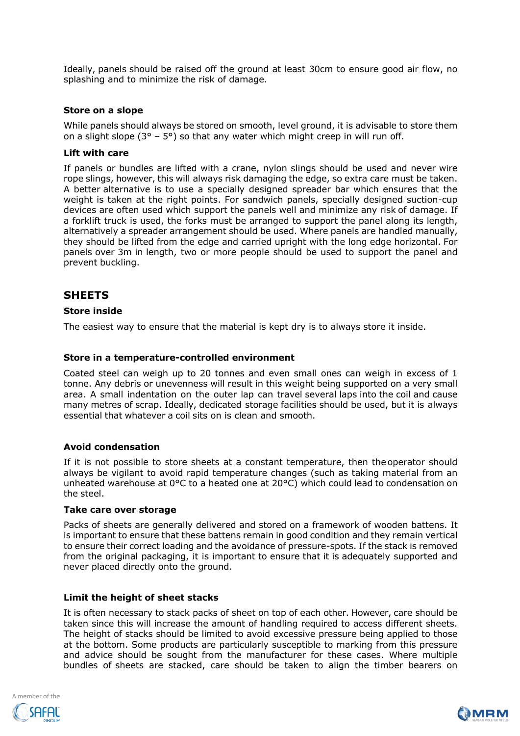Ideally, panels should be raised off the ground at least 30cm to ensure good air flow, no splashing and to minimize the risk of damage.

#### **Store on a slope**

While panels should always be stored on smooth, level ground, it is advisable to store them on a slight slope ( $3^{\circ}$  –  $5^{\circ}$ ) so that any water which might creep in will run off.

#### **Lift with care**

If panels or bundles are lifted with a crane, nylon slings should be used and never wire rope slings, however, this will always risk damaging the edge, so extra care must be taken. A better alternative is to use a specially designed spreader bar which ensures that the weight is taken at the right points. For sandwich panels, specially designed suction-cup devices are often used which support the panels well and minimize any risk of damage. If a forklift truck is used, the forks must be arranged to support the panel along its length, alternatively a spreader arrangement should be used. Where panels are handled manually, they should be lifted from the edge and carried upright with the long edge horizontal. For panels over 3m in length, two or more people should be used to support the panel and prevent buckling.

# **SHEETS**

## **Store inside**

The easiest way to ensure that the material is kept dry is to always store it inside.

## **Store in a temperature-controlled environment**

Coated steel can weigh up to 20 tonnes and even small ones can weigh in excess of 1 tonne. Any debris or unevenness will result in this weight being supported on a very small area. A small indentation on the outer lap can travel several laps into the coil and cause many metres of scrap. Ideally, dedicated storage facilities should be used, but it is always essential that whatever a coil sits on is clean and smooth.

#### **Avoid condensation**

If it is not possible to store sheets at a constant temperature, then theoperator should always be vigilant to avoid rapid temperature changes (such as taking material from an unheated warehouse at 0°C to a heated one at 20°C) which could lead to condensation on the steel.

#### **Take care over storage**

Packs of sheets are generally delivered and stored on a framework of wooden battens. It is important to ensure that these battens remain in good condition and they remain vertical to ensure their correct loading and the avoidance of pressure-spots. If the stack is removed from the original packaging, it is important to ensure that it is adequately supported and never placed directly onto the ground.

#### **Limit the height of sheet stacks**

It is often necessary to stack packs of sheet on top of each other. However, care should be taken since this will increase the amount of handling required to access different sheets. The height of stacks should be limited to avoid excessive pressure being applied to those at the bottom. Some products are particularly susceptible to marking from this pressure and advice should be sought from the manufacturer for these cases. Where multiple bundles of sheets are stacked, care should be taken to align the timber bearers on



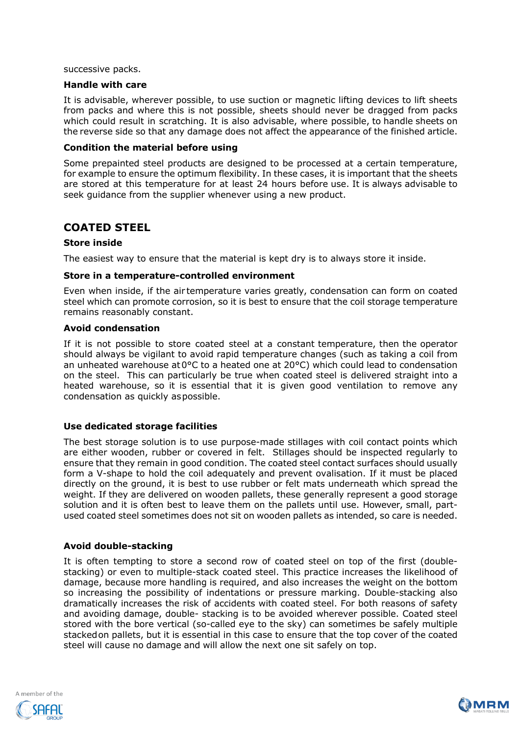successive packs.

## **Handle with care**

It is advisable, wherever possible, to use suction or magnetic lifting devices to lift sheets from packs and where this is not possible, sheets should never be dragged from packs which could result in scratching. It is also advisable, where possible, to handle sheets on the reverse side so that any damage does not affect the appearance of the finished article.

#### **Condition the material before using**

Some prepainted steel products are designed to be processed at a certain temperature, for example to ensure the optimum flexibility. In these cases, it is important that the sheets are stored at this temperature for at least 24 hours before use. It is always advisable to seek guidance from the supplier whenever using a new product.

# **COATED STEEL**

#### **Store inside**

The easiest way to ensure that the material is kept dry is to always store it inside.

#### **Store in a temperature-controlled environment**

Even when inside, if the air temperature varies greatly, condensation can form on coated steel which can promote corrosion, so it is best to ensure that the coil storage temperature remains reasonably constant.

#### **Avoid condensation**

If it is not possible to store coated steel at a constant temperature, then the operator should always be vigilant to avoid rapid temperature changes (such as taking a coil from an unheated warehouse at  $0^{\circ}$ C to a heated one at  $20^{\circ}$ C) which could lead to condensation on the steel. This can particularly be true when coated steel is delivered straight into a heated warehouse, so it is essential that it is given good ventilation to remove any condensation as quickly aspossible.

#### **Use dedicated storage facilities**

The best storage solution is to use purpose-made stillages with coil contact points which are either wooden, rubber or covered in felt. Stillages should be inspected regularly to ensure that they remain in good condition. The coated steel contact surfaces should usually form a V-shape to hold the coil adequately and prevent ovalisation. If it must be placed directly on the ground, it is best to use rubber or felt mats underneath which spread the weight. If they are delivered on wooden pallets, these generally represent a good storage solution and it is often best to leave them on the pallets until use. However, small, partused coated steel sometimes does not sit on wooden pallets as intended, so care is needed.

#### **Avoid double-stacking**

It is often tempting to store a second row of coated steel on top of the first (doublestacking) or even to multiple-stack coated steel. This practice increases the likelihood of damage, because more handling is required, and also increases the weight on the bottom so increasing the possibility of indentations or pressure marking. Double-stacking also dramatically increases the risk of accidents with coated steel. For both reasons of safety and avoiding damage, double- stacking is to be avoided wherever possible. Coated steel stored with the bore vertical (so-called eye to the sky) can sometimes be safely multiple stackedon pallets, but it is essential in this case to ensure that the top cover of the coated steel will cause no damage and will allow the next one sit safely on top.